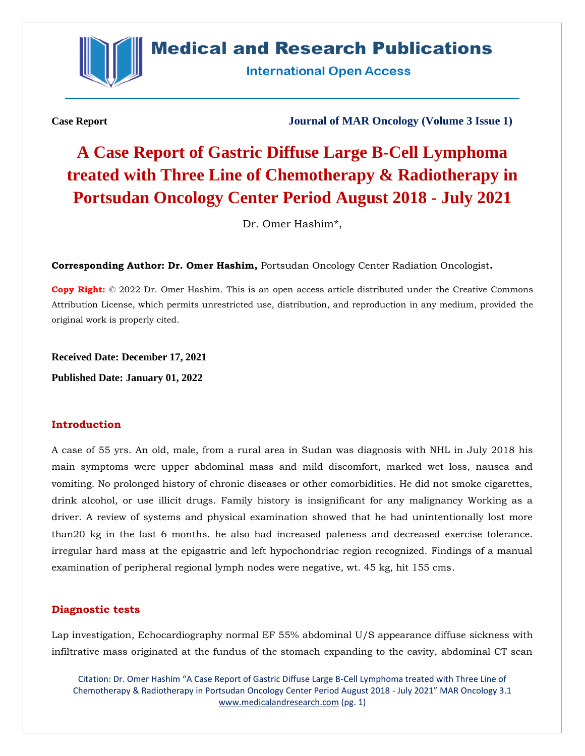

## **Medical and Research Publications**

**International Open Access** 

**Case Report Journal of MAR Oncology (Volume 3 Issue 1)**

# **A Case Report of Gastric Diffuse Large B-Cell Lymphoma treated with Three Line of Chemotherapy & Radiotherapy in Portsudan Oncology Center Period August 2018 - July 2021**

Dr. Omer Hashim\*,

**Corresponding Author: Dr. Omer Hashim,** Portsudan Oncology Center Radiation Oncologist**.**

**Copy Right:** © 2022 Dr. Omer Hashim. This is an open access article distributed under the Creative Commons Attribution License, which permits unrestricted use, distribution, and reproduction in any medium, provided the original work is properly cited.

**Received Date: December 17, 2021**

**Published Date: January 01, 2022**

#### **Introduction**

A case of 55 yrs. An old, male, from a rural area in Sudan was diagnosis with NHL in July 2018 his main symptoms were upper abdominal mass and mild discomfort, marked wet loss, nausea and vomiting. No prolonged history of chronic diseases or other comorbidities. He did not smoke cigarettes, drink alcohol, or use illicit drugs. Family history is insignificant for any malignancy Working as a driver. A review of systems and physical examination showed that he had unintentionally lost more than20 kg in the last 6 months. he also had increased paleness and decreased exercise tolerance. irregular hard mass at the epigastric and left hypochondriac region recognized. Findings of a manual examination of peripheral regional lymph nodes were negative, wt. 45 kg, hit 155 cms.

#### **Diagnostic tests**

Lap investigation, Echocardiography normal EF 55% abdominal U/S appearance diffuse sickness with infiltrative mass originated at the fundus of the stomach expanding to the cavity, abdominal CT scan

Citation: Dr. Omer Hashim "A Case Report of Gastric Diffuse Large B-Cell Lymphoma treated with Three Line of Chemotherapy & Radiotherapy in Portsudan Oncology Center Period August 2018 - July 2021" MAR Oncology 3.1 [www.medicalandresearch.com](http://www.medicalandresearch.com/) (pg. 1)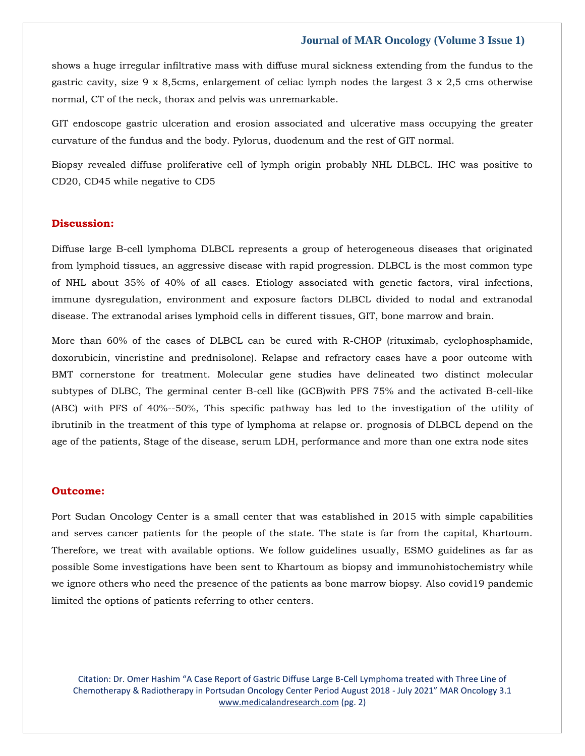#### **Journal of MAR Oncology (Volume 3 Issue 1)**

shows a huge irregular infiltrative mass with diffuse mural sickness extending from the fundus to the gastric cavity, size 9 x 8,5cms, enlargement of celiac lymph nodes the largest 3 x 2,5 cms otherwise normal, CT of the neck, thorax and pelvis was unremarkable.

GIT endoscope gastric ulceration and erosion associated and ulcerative mass occupying the greater curvature of the fundus and the body. Pylorus, duodenum and the rest of GIT normal.

Biopsy revealed diffuse proliferative cell of lymph origin probably NHL DLBCL. IHC was positive to CD20, CD45 while negative to CD5

#### **Discussion:**

Diffuse large B-cell lymphoma DLBCL represents a group of heterogeneous diseases that originated from lymphoid tissues, an aggressive disease with rapid progression. DLBCL is the most common type of NHL about 35% of 40% of all cases. Etiology associated with genetic factors, viral infections, immune dysregulation, environment and exposure factors DLBCL divided to nodal and extranodal disease. The extranodal arises lymphoid cells in different tissues, GIT, bone marrow and brain.

More than 60% of the cases of DLBCL can be cured with R-CHOP (rituximab, cyclophosphamide, doxorubicin, vincristine and prednisolone). Relapse and refractory cases have a poor outcome with BMT cornerstone for treatment. Molecular gene studies have delineated two distinct molecular subtypes of DLBC, The germinal center B-cell like (GCB)with PFS 75% and the activated B-cell-like (ABC) with PFS of 40%--50%, This specific pathway has led to the investigation of the utility of ibrutinib in the treatment of this type of lymphoma at relapse or. prognosis of DLBCL depend on the age of the patients, Stage of the disease, serum LDH, performance and more than one extra node sites

#### **Outcome:**

Port Sudan Oncology Center is a small center that was established in 2015 with simple capabilities and serves cancer patients for the people of the state. The state is far from the capital, Khartoum. Therefore, we treat with available options. We follow guidelines usually, ESMO guidelines as far as possible Some investigations have been sent to Khartoum as biopsy and immunohistochemistry while we ignore others who need the presence of the patients as bone marrow biopsy. Also covid19 pandemic limited the options of patients referring to other centers.

Citation: Dr. Omer Hashim "A Case Report of Gastric Diffuse Large B-Cell Lymphoma treated with Three Line of Chemotherapy & Radiotherapy in Portsudan Oncology Center Period August 2018 - July 2021" MAR Oncology 3.1 [www.medicalandresearch.com](http://www.medicalandresearch.com/) (pg. 2)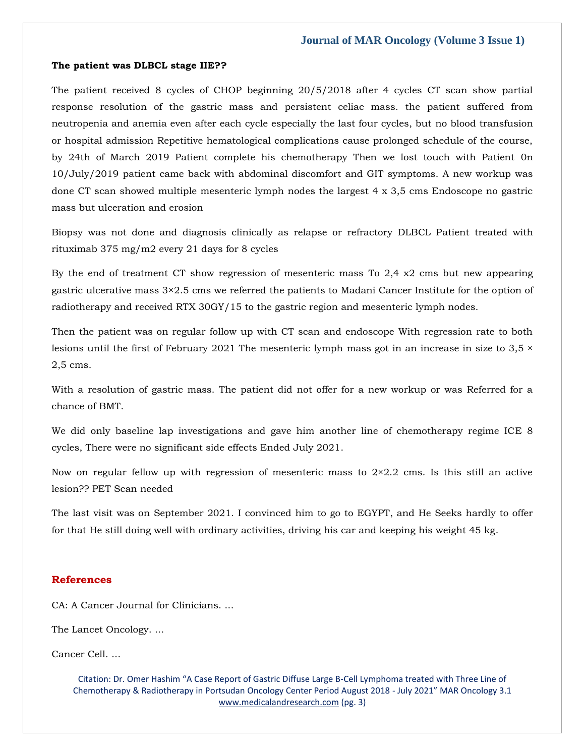#### **The patient was DLBCL stage IIE??**

The patient received 8 cycles of CHOP beginning 20/5/2018 after 4 cycles CT scan show partial response resolution of the gastric mass and persistent celiac mass. the patient suffered from neutropenia and anemia even after each cycle especially the last four cycles, but no blood transfusion or hospital admission Repetitive hematological complications cause prolonged schedule of the course, by 24th of March 2019 Patient complete his chemotherapy Then we lost touch with Patient 0n 10/July/2019 patient came back with abdominal discomfort and GIT symptoms. A new workup was done CT scan showed multiple mesenteric lymph nodes the largest 4 x 3,5 cms Endoscope no gastric mass but ulceration and erosion

Biopsy was not done and diagnosis clinically as relapse or refractory DLBCL Patient treated with rituximab 375 mg/m2 every 21 days for 8 cycles

By the end of treatment CT show regression of mesenteric mass To 2,4  $x/2$  cms but new appearing gastric ulcerative mass 3×2.5 cms we referred the patients to Madani Cancer Institute for the option of radiotherapy and received RTX 30GY/15 to the gastric region and mesenteric lymph nodes.

Then the patient was on regular follow up with CT scan and endoscope With regression rate to both lesions until the first of February 2021 The mesenteric lymph mass got in an increase in size to  $3.5 \times$ 2,5 cms.

With a resolution of gastric mass. The patient did not offer for a new workup or was Referred for a chance of BMT.

We did only baseline lap investigations and gave him another line of chemotherapy regime ICE 8 cycles, There were no significant side effects Ended July 2021.

Now on regular fellow up with regression of mesenteric mass to 2×2.2 cms. Is this still an active lesion?? PET Scan needed

The last visit was on September 2021. I convinced him to go to EGYPT, and He Seeks hardly to offer for that He still doing well with ordinary activities, driving his car and keeping his weight 45 kg.

#### **References**

CA: A Cancer Journal for Clinicians. ...

The Lancet Oncology. ...

Cancer Cell. ...

Citation: Dr. Omer Hashim "A Case Report of Gastric Diffuse Large B-Cell Lymphoma treated with Three Line of Chemotherapy & Radiotherapy in Portsudan Oncology Center Period August 2018 - July 2021" MAR Oncology 3.1 [www.medicalandresearch.com](http://www.medicalandresearch.com/) (pg. 3)